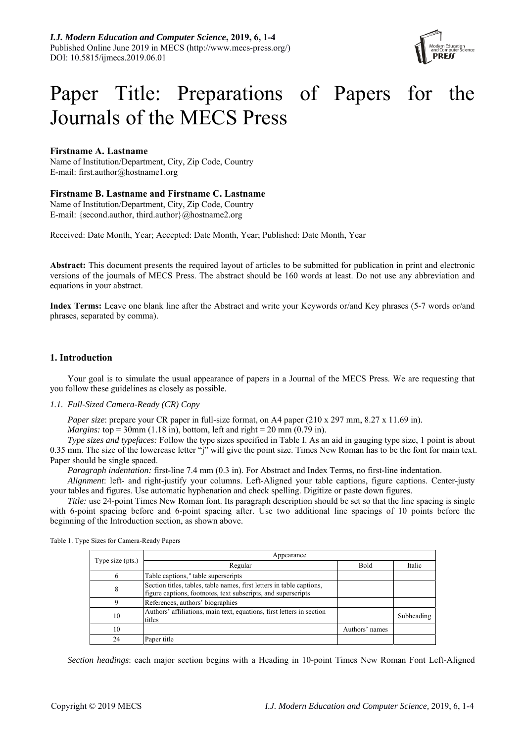

# Paper Title: Preparations of Papers for the Journals of the MECS Press

# **Firstname A. Lastname**

Name of Institution/Department, City, Zip Code, Country E-mail: first.author@hostname1.org

## **Firstname B. Lastname and Firstname C. Lastname**

Name of Institution/Department, City, Zip Code, Country E-mail: {second.author, third.author}@hostname2.org

Received: Date Month, Year; Accepted: Date Month, Year; Published: Date Month, Year

**Abstract:** This document presents the required layout of articles to be submitted for publication in print and electronic versions of the journals of MECS Press. The abstract should be 160 words at least. Do not use any abbreviation and equations in your abstract.

**Index Terms:** Leave one blank line after the Abstract and write your Keywords or/and Key phrases (5-7 words or/and phrases, separated by comma).

# **1. Introduction**

Your goal is to simulate the usual appearance of papers in a Journal of the MECS Press. We are requesting that you follow these guidelines as closely as possible.

## *1.1. Full-Sized Camera-Ready (CR) Copy*

*Paper size*: prepare your CR paper in full-size format, on A4 paper (210 x 297 mm, 8.27 x 11.69 in).

*Margins:* top = 30mm (1.18 in), bottom, left and right = 20 mm (0.79 in).

*Type sizes and typefaces:* Follow the type sizes specified in Table I. As an aid in gauging type size, 1 point is about 0.35 mm. The size of the lowercase letter "j" will give the point size. Times New Roman has to be the font for main text. Paper should be single spaced.

*Paragraph indentation:* first-line 7.4 mm (0.3 in). For Abstract and Index Terms, no first-line indentation.

*Alignment*: left- and right-justify your columns. Left-Aligned your table captions, figure captions. Center-justy your tables and figures. Use automatic hyphenation and check spelling. Digitize or paste down figures.

*Title:* use 24-point Times New Roman font. Its paragraph description should be set so that the line spacing is single with 6-point spacing before and 6-point spacing after. Use two additional line spacings of 10 points before the beginning of the Introduction section, as shown above.

| Type size (pts.) | Appearance                                                                                                                             |                |            |
|------------------|----------------------------------------------------------------------------------------------------------------------------------------|----------------|------------|
|                  | Regular                                                                                                                                | <b>Bold</b>    | Italic     |
| 6                | Table captions, <sup>a</sup> table superscripts                                                                                        |                |            |
| 8                | Section titles, tables, table names, first letters in table captions,<br>figure captions, footnotes, text subscripts, and superscripts |                |            |
| Q                | References, authors' biographies                                                                                                       |                |            |
| 10               | Authors' affiliations, main text, equations, first letters in section<br>titles                                                        |                | Subheading |
| 10               |                                                                                                                                        | Authors' names |            |
| 24               | Paper title                                                                                                                            |                |            |

Table 1. Type Sizes for Camera-Ready Papers

*Section headings*: each major section begins with a Heading in 10-point Times New Roman Font Left-Aligned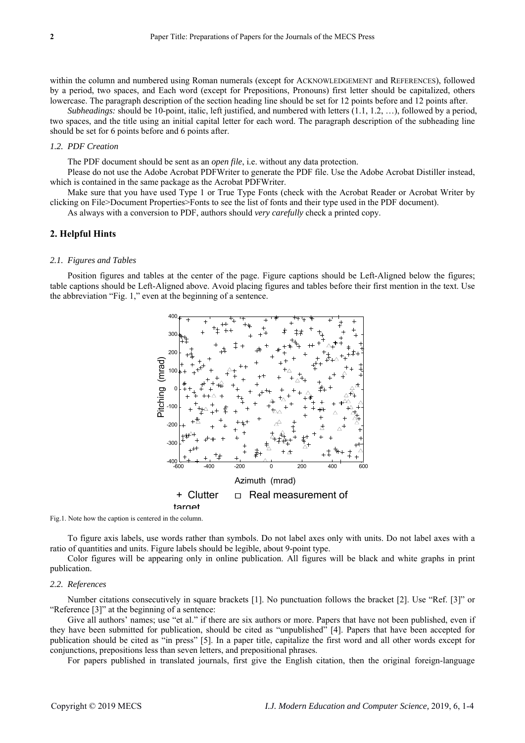within the column and numbered using Roman numerals (except for ACKNOWLEDGEMENT and REFERENCES), followed by a period, two spaces, and Each word (except for Prepositions, Pronouns) first letter should be capitalized, others lowercase. The paragraph description of the section heading line should be set for 12 points before and 12 points after.

*Subheadings:* should be 10-point, italic, left justified, and numbered with letters (1.1, 1.2, …), followed by a period, two spaces, and the title using an initial capital letter for each word. The paragraph description of the subheading line should be set for 6 points before and 6 points after.

## *1.2. PDF Creation*

The PDF document should be sent as an *open file*, i.e. without any data protection.

Please do not use the Adobe Acrobat PDFWriter to generate the PDF file. Use the Adobe Acrobat Distiller instead, which is contained in the same package as the Acrobat PDFWriter.

Make sure that you have used Type 1 or True Type Fonts (check with the Acrobat Reader or Acrobat Writer by clicking on File>Document Properties>Fonts to see the list of fonts and their type used in the PDF document).

As always with a conversion to PDF, authors should *very carefully* check a printed copy.

## **2. Helpful Hints**

#### *2.1. Figures and Tables*

Position figures and tables at the center of the page. Figure captions should be Left-Aligned below the figures; table captions should be Left-Aligned above. Avoid placing figures and tables before their first mention in the text. Use the abbreviation "Fig. 1," even at the beginning of a sentence.



Fig.1. Note how the caption is centered in the column.

To figure axis labels, use words rather than symbols. Do not label axes only with units. Do not label axes with a ratio of quantities and units. Figure labels should be legible, about 9-point type.

Color figures will be appearing only in online publication. All figures will be black and white graphs in print publication.

#### *2.2. References*

Number citations consecutively in square brackets [1]. No punctuation follows the bracket [2]. Use "Ref. [3]" or "Reference [3]" at the beginning of a sentence:

Give all authors' names; use "et al." if there are six authors or more. Papers that have not been published, even if they have been submitted for publication, should be cited as "unpublished" [4]. Papers that have been accepted for publication should be cited as "in press" [5]. In a paper title, capitalize the first word and all other words except for conjunctions, prepositions less than seven letters, and prepositional phrases.

For papers published in translated journals, first give the English citation, then the original foreign-language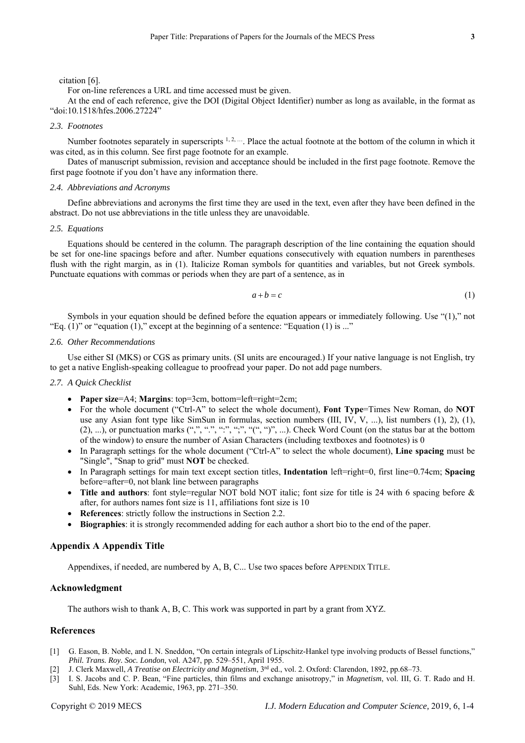For on-line references a URL and time accessed must be given.

At the end of each reference, give the DOI (Digital Object Identifier) number as long as available, in the format as "doi:10.1518/hfes.2006.27224"

#### *2.3. Footnotes*

Number footnotes separately in superscripts  $1, 2, \dots$ . Place the actual footnote at the bottom of the column in which it was cited, as in this column. See first page footnote for an example.

Dates of manuscript submission, revision and acceptance should be included in the first page footnote. Remove the first page footnote if you don't have any information there.

## *2.4. Abbreviations and Acronyms*

Define abbreviations and acronyms the first time they are used in the text, even after they have been defined in the abstract. Do not use abbreviations in the title unless they are unavoidable.

#### *2.5. Equations*

Equations should be centered in the column. The paragraph description of the line containing the equation should be set for one-line spacings before and after. Number equations consecutively with equation numbers in parentheses flush with the right margin, as in (1). Italicize Roman symbols for quantities and variables, but not Greek symbols. Punctuate equations with commas or periods when they are part of a sentence, as in

$$
a+b=c \tag{1}
$$

Symbols in your equation should be defined before the equation appears or immediately following. Use "(1)," not "Eq.  $(1)$ " or "equation  $(1)$ ," except at the beginning of a sentence: "Equation  $(1)$  is ..."

## *2.6. Other Recommendations*

Use either SI (MKS) or CGS as primary units. (SI units are encouraged.) If your native language is not English, try to get a native English-speaking colleague to proofread your paper. Do not add page numbers.

## *2.7. A Quick Checklist*

- **Paper size**=A4; **Margins**: top=3cm, bottom=left=right=2cm;
- For the whole document ("Ctrl-A" to select the whole document), **Font Type**=Times New Roman, do **NOT**  use any Asian font type like SimSun in formulas, section numbers (III, IV, V, ...), list numbers (1), 2), (1),  $(2), ...$ ), or punctuation marks  $(",", "", "", "", "", "", "", ...).$  Check Word Count (on the status bar at the bottom of the window) to ensure the number of Asian Characters (including textboxes and footnotes) is 0
- In Paragraph settings for the whole document ("Ctrl-A" to select the whole document), **Line spacing** must be "Single", "Snap to grid" must **NOT** be checked.
- In Paragraph settings for main text except section titles, **Indentation** left=right=0, first line=0.74cm; **Spacing**  before=after=0, not blank line between paragraphs
- Title and authors: font style=regular NOT bold NOT italic; font size for title is 24 with 6 spacing before & after, for authors names font size is 11, affiliations font size is 10
- **References**: strictly follow the instructions in Section 2.2.
- **Biographies**: it is strongly recommended adding for each author a short bio to the end of the paper.

## **Appendix A Appendix Title**

Appendixes, if needed, are numbered by A, B, C... Use two spaces before APPENDIX TITLE.

## **Acknowledgment**

The authors wish to thank A, B, C. This work was supported in part by a grant from XYZ.

## **References**

- [1] G. Eason, B. Noble, and I. N. Sneddon, "On certain integrals of Lipschitz-Hankel type involving products of Bessel functions," *Phil. Trans. Roy. Soc. London*, vol. A247, pp. 529–551, April 1955.
- [2] J. Clerk Maxwell, *A Treatise on Electricity and Magnetism*, 3rd ed., vol. 2. Oxford: Clarendon, 1892, pp.68–73.
- [3] I. S. Jacobs and C. P. Bean, "Fine particles, thin films and exchange anisotropy," in *Magnetism*, vol. III, G. T. Rado and H. Suhl, Eds. New York: Academic, 1963, pp. 271–350.